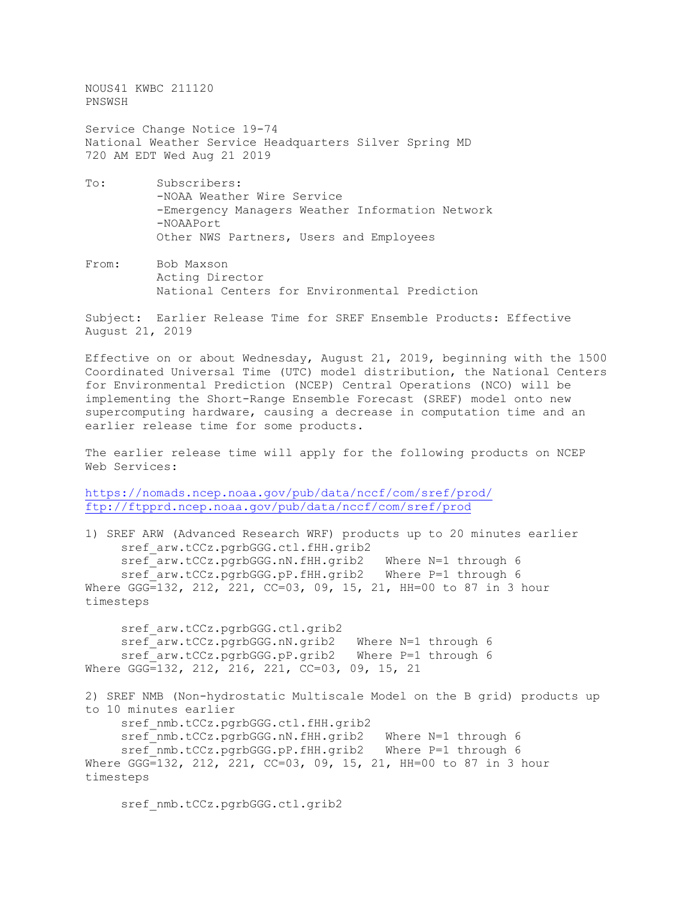NOUS41 KWBC 211120 PNSWSH

Service Change Notice 19-74 National Weather Service Headquarters Silver Spring MD 720 AM EDT Wed Aug 21 2019

- To: Subscribers: -NOAA Weather Wire Service -Emergency Managers Weather Information Network -NOAAPort Other NWS Partners, Users and Employees
- From: Bob Maxson Acting Director National Centers for Environmental Prediction

Subject: Earlier Release Time for SREF Ensemble Products: Effective August 21, 2019

Effective on or about Wednesday, August 21, 2019, beginning with the 1500 Coordinated Universal Time (UTC) model distribution, the National Centers for Environmental Prediction (NCEP) Central Operations (NCO) will be implementing the Short-Range Ensemble Forecast (SREF) model onto new supercomputing hardware, causing a decrease in computation time and an earlier release time for some products.

The earlier release time will apply for the following products on NCEP Web Services:

<https://nomads.ncep.noaa.gov/pub/data/nccf/com/sref/prod/> <ftp://ftpprd.ncep.noaa.gov/pub/data/nccf/com/sref/prod>

| 1) SREF ARW (Advanced Research WRF) products up to 20 minutes earlier<br>sref arw.tCCz.pqrbGGG.ctl.fHH.qrib2<br>sref arw.tCCz.pgrbGGG.nN.fHH.grib2 Where N=1 through 6<br>sref arw.tCCz.pgrbGGG.pP.fHH.grib2 Where P=1 through 6                                                                                                               |
|------------------------------------------------------------------------------------------------------------------------------------------------------------------------------------------------------------------------------------------------------------------------------------------------------------------------------------------------|
| Where GGG=132, 212, 221, CC=03, 09, 15, 21, HH=00 to 87 in 3 hour                                                                                                                                                                                                                                                                              |
| timesteps                                                                                                                                                                                                                                                                                                                                      |
| sref arw.tCCz.pqrbGGG.ctl.grib2<br>sref arw.tCCz.pgrbGGG.nN.grib2 Where N=1 through 6<br>sref arw.tCCz.pqrbGGG.pP.grib2 Where P=1 through 6<br>Where GGG=132, 212, 216, 221, CC=03, 09, 15, 21                                                                                                                                                 |
| 2) SREF NMB (Non-hydrostatic Multiscale Model on the B grid) products up<br>to 10 minutes earlier<br>sref nmb.tCCz.pqrbGGG.ctl.fHH.qrib2<br>sref nmb.tCCz.pgrbGGG.nN.fHH.grib2 Where N=1 through 6<br>sref nmb.tCCz.pgrbGGG.pP.fHH.grib2 Where P=1 through 6<br>Where GGG=132, 212, 221, CC=03, 09, 15, 21, HH=00 to 87 in 3 hour<br>timesteps |

sref\_nmb.tCCz.pgrbGGG.ctl.grib2